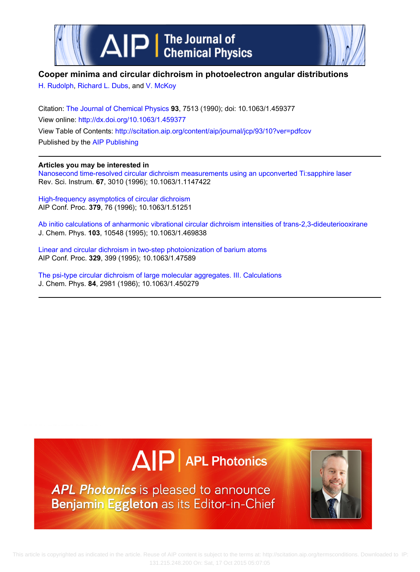



## **Cooper minima and circular dichroism in photoelectron angular distributions**

[H. Rudolph](http://scitation.aip.org/search?value1=H.+Rudolph&option1=author), [Richard L. Dubs,](http://scitation.aip.org/search?value1=Richard+L.+Dubs&option1=author) and [V. McKoy](http://scitation.aip.org/search?value1=V.+McKoy&option1=author)

Citation: [The Journal of Chemical Physics](http://scitation.aip.org/content/aip/journal/jcp?ver=pdfcov) **93**, 7513 (1990); doi: 10.1063/1.459377 View online: <http://dx.doi.org/10.1063/1.459377> View Table of Contents:<http://scitation.aip.org/content/aip/journal/jcp/93/10?ver=pdfcov> Published by the [AIP Publishing](http://scitation.aip.org/content/aip?ver=pdfcov)

## **Articles you may be interested in**

[Nanosecond time‐resolved circular dichroism measurements using an upconverted Ti:sapphire laser](http://scitation.aip.org/content/aip/journal/rsi/67/9/10.1063/1.1147422?ver=pdfcov) Rev. Sci. Instrum. **67**, 3010 (1996); 10.1063/1.1147422

[High‐frequency asymptotics of circular dichroism](http://scitation.aip.org/content/aip/proceeding/aipcp/10.1063/1.51251?ver=pdfcov) AIP Conf. Proc. **379**, 76 (1996); 10.1063/1.51251

[Ab initio calculations of anharmonic vibrational circular dichroism intensities of trans‐2,3‐dideuteriooxirane](http://scitation.aip.org/content/aip/journal/jcp/103/24/10.1063/1.469838?ver=pdfcov) J. Chem. Phys. **103**, 10548 (1995); 10.1063/1.469838

[Linear and circular dichroism in two‐step photoionization of barium atoms](http://scitation.aip.org/content/aip/proceeding/aipcp/10.1063/1.47589?ver=pdfcov) AIP Conf. Proc. **329**, 399 (1995); 10.1063/1.47589

[The psi‐type circular dichroism of large molecular aggregates. III. Calculations](http://scitation.aip.org/content/aip/journal/jcp/84/6/10.1063/1.450279?ver=pdfcov) J. Chem. Phys. **84**, 2981 (1986); 10.1063/1.450279



APL Photonics is pleased to announce Benjamin Eggleton as its Editor-in-Chief

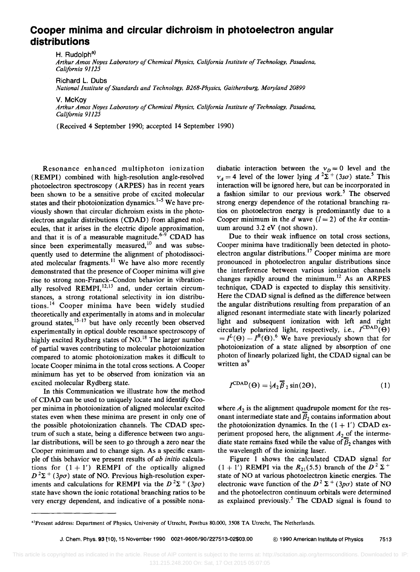## **Cooper minima and circular dichroism in photoelectron angular distributions**

H. Rudolph<sup>a)</sup>

*Arthur Amos Noyes Laboratory of Chemical Physics, California Institute of Technology, Pasadena, California 91125* 

Richard L. Dubs

*National Institute of Standards and Technology, B268-Physics, Gaithersburg, Maryland 20899* 

V. McKoy

*Arthur Amos Noyes Laboratory of Chemical Physics, California Institute of Technology, Pasadena, California 91125* 

(Received 4 September 1990; accepted 14 September 1990)

Resonance enhanced multiphoton ionization (REMPI) combined with high-resolution angle-resolved photoelectron spectroscopy (ARPES) has in recent years been shown to be a sensitive probe of excited molecular states and their photoionization dynamics.<sup>1-5</sup> We have previously shown that circular dichroism exists in the photoelectron angular distributions (CDAD) from aligned molecules, that it arises in the electric dipole approximation, and that it is of a measurable magnitude. $6-9$  CDAD has since been experimentally measured, $\overline{^{10}}$  and was subsequently used to determine the alignment of photodissociated molecular fragments.<sup>11</sup> We have also more recently demonstrated that the presence of Cooper minima will give rise to strong non-Franek-Condon behavior in vibrationally resolved  $REMPI$ ,<sup>12,13</sup> and, under certain circumstances, a strong rotational selectivity in ion distributions. 14 Cooper minima have been widely studied theoretically and experimentally in atoms and in molecular ground states, $15-17$  but have only recently been observed experimentally in optical double resonance spectroscopy of highly excited Rydberg states of NO.<sup>18</sup> The larger number of partial waves contributing to molecular photoionization compared to atomic photoionization makes it difficult to locate Cooper minima in the total cross sections. A Cooper minimum has yet to be observed from ionization via an excited molecular Rydberg state.

In this Communication we illustrate how the method of CDAD can be used to uniquely locate and identify Cooper minima in photoionization of aligned molecular excited states even when these minima are present in only one of the possible photoionization channels. The CDAD spectrum of such a state, being a difference between two angular distributions, will be seen to go through a zero near the Cooper minimum and to change sign. As a specific example of this behavior we present results of *ab initio* calculations for  $(1 + 1')$  REMPI of the optically aligned  $D^2\Sigma^+$  (3p $\sigma$ ) state of NO. Previous high-resolution experiments and calculations for REMPI via the  $D^2\Sigma^+$  (3p $\sigma$ ) state have shown the ionic rotational branching ratios to be very energy dependent, and indicative of a possible nonadiabatic interaction between the  $v_D = 0$  level and the  $v_A = 4$  level of the lower lying  $A^2\Sigma^+$  (3so) state.<sup>5</sup> This interaction will be ignored here, but can be incorporated in a fashion similar to our previous work.<sup>5</sup> The observed strong energy dependence of the rotational branching ratios on photoelectron energy is predominantly due to a Cooper minimum in the *d* wave  $(l = 2)$  of the  $k\pi$  continuum around 3.2 eV (not shown).

Due to their weak influence on total cross sections, Cooper minima have traditionally been detected in photoelectron angular distributions.<sup>17</sup> Cooper minima are more pronounced in photoelectron angular distributions since the interference between various ionization channels changes rapidly around the minimum.<sup>12</sup> As an ARPES technique, CDAD is expected to display this sensitivity. Here the CDAD signal is defined as the difference between the angular distributions resulting from preparation of an aligned resonant intermediate state with linearly polarized light and subsequent ionization with left and right circularly polarized light, respectively, i.e.,  $I^{\text{CDAD}}(\Theta)$  $= I^L(\Theta) - I^R(\Theta)$ <sup>6</sup>. We have previously shown that for photoionization of a state aligned by absorption of one photon of linearly polarized light, the CDAD signal can be written as<sup>9</sup>

$$
I^{\text{CDAD}}(\Theta) = \frac{1}{2} A_2 \overline{\beta}_2 \sin(2\Theta), \qquad (1)
$$

where  $A_2$  is the alignment quadrupole moment for the resonant intermediate state and  $\overline{B}_2$  contains information about the photoionization dynamics. In the  $(1 + 1')$  CDAD experiment proposed here, the alignment  $A_2$  of the intermediate state remains fixed while the value of  $\overline{B}_2$  changes with the wavelength of the ionizing laser.

Figure 1 shows the calculated CDAD signal for  $(1 + 1')$  REMPI via the  $R_{21}(5.5)$  branch of the  $D^2\Sigma^+$ state of NO at various photoelectron kinetic energies. The electronic wave function of the  $D^2 \Sigma^+$  (3po) state of NO and the photoelectron continuum orbitals were determined as explained previously.<sup>5</sup> The CDAD signal is found to

a)Present address: Department of Physics, University of Utrecht, Postbus 80.000, 3508 TA Utrecht, The Netherlands.

J. Chern. Phys. 9311 0). 15 November 1990 0021-9606/901227513-02\$03.00 @ 1990 American Institute of Physics 7513